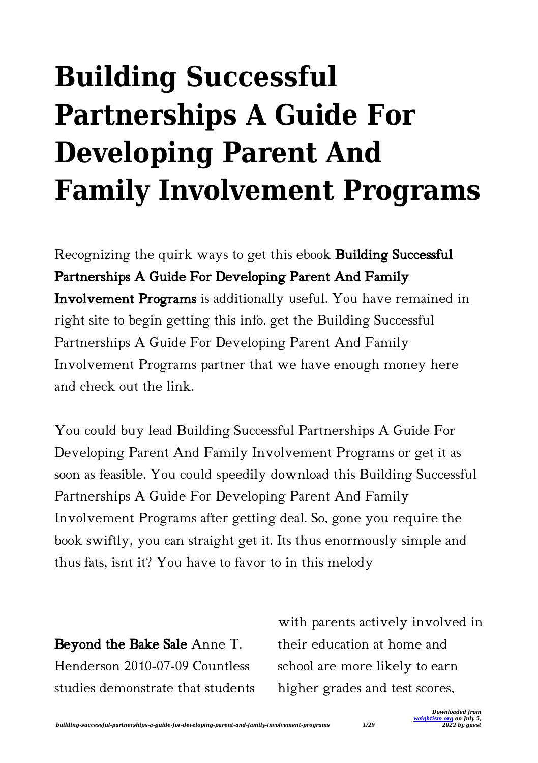# **Building Successful Partnerships A Guide For Developing Parent And Family Involvement Programs**

Recognizing the quirk ways to get this ebook Building Successful Partnerships A Guide For Developing Parent And Family Involvement Programs is additionally useful. You have remained in right site to begin getting this info. get the Building Successful Partnerships A Guide For Developing Parent And Family Involvement Programs partner that we have enough money here and check out the link.

You could buy lead Building Successful Partnerships A Guide For Developing Parent And Family Involvement Programs or get it as soon as feasible. You could speedily download this Building Successful Partnerships A Guide For Developing Parent And Family Involvement Programs after getting deal. So, gone you require the book swiftly, you can straight get it. Its thus enormously simple and thus fats, isnt it? You have to favor to in this melody

# Beyond the Bake Sale Anne T. Henderson 2010-07-09 Countless studies demonstrate that students

with parents actively involved in their education at home and school are more likely to earn higher grades and test scores,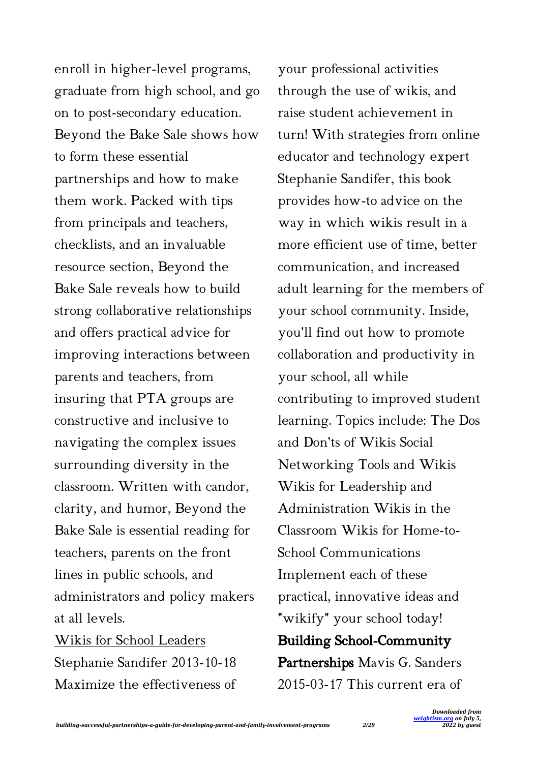enroll in higher-level programs, graduate from high school, and go on to post-secondary education. Beyond the Bake Sale shows how to form these essential partnerships and how to make them work. Packed with tips from principals and teachers, checklists, and an invaluable resource section, Beyond the Bake Sale reveals how to build strong collaborative relationships and offers practical advice for improving interactions between parents and teachers, from insuring that PTA groups are constructive and inclusive to navigating the complex issues surrounding diversity in the classroom. Written with candor, clarity, and humor, Beyond the Bake Sale is essential reading for teachers, parents on the front lines in public schools, and administrators and policy makers at all levels.

Wikis for School Leaders Stephanie Sandifer 2013-10-18 Maximize the effectiveness of your professional activities through the use of wikis, and raise student achievement in turn! With strategies from online educator and technology expert Stephanie Sandifer, this book provides how-to advice on the way in which wikis result in a more efficient use of time, better communication, and increased adult learning for the members of your school community. Inside, you'll find out how to promote collaboration and productivity in your school, all while contributing to improved student learning. Topics include: The Dos and Don'ts of Wikis Social Networking Tools and Wikis Wikis for Leadership and Administration Wikis in the Classroom Wikis for Home-to-School Communications Implement each of these practical, innovative ideas and "wikify" your school today! Building School-Community Partnerships Mavis G. Sanders 2015-03-17 This current era of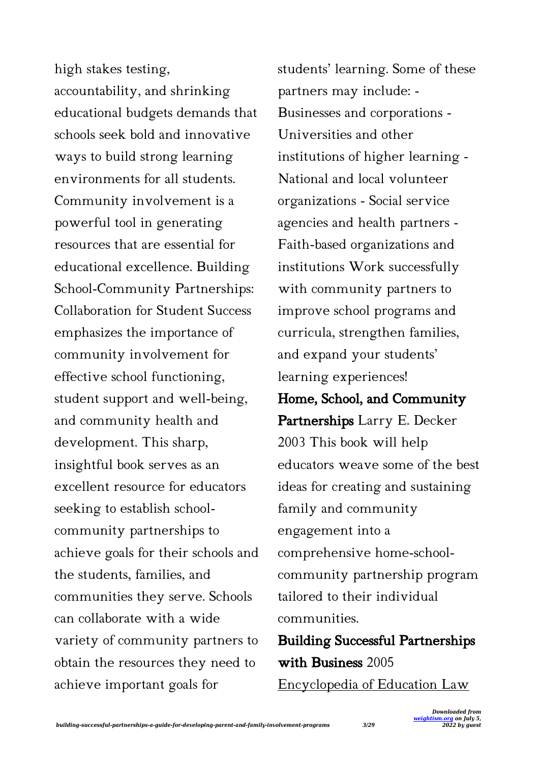high stakes testing, accountability, and shrinking educational budgets demands that schools seek bold and innovative ways to build strong learning environments for all students. Community involvement is a powerful tool in generating resources that are essential for educational excellence. Building School-Community Partnerships: Collaboration for Student Success emphasizes the importance of community involvement for effective school functioning, student support and well-being, and community health and development. This sharp, insightful book serves as an excellent resource for educators seeking to establish schoolcommunity partnerships to achieve goals for their schools and the students, families, and communities they serve. Schools can collaborate with a wide variety of community partners to obtain the resources they need to achieve important goals for

students' learning. Some of these partners may include: - Businesses and corporations - Universities and other institutions of higher learning - National and local volunteer organizations - Social service agencies and health partners - Faith-based organizations and institutions Work successfully with community partners to improve school programs and curricula, strengthen families, and expand your students' learning experiences! Home, School, and Community Partnerships Larry E. Decker 2003 This book will help educators weave some of the best ideas for creating and sustaining family and community engagement into a comprehensive home-school-

community partnership program tailored to their individual communities.

# Building Successful Partnerships with Business 2005

Encyclopedia of Education Law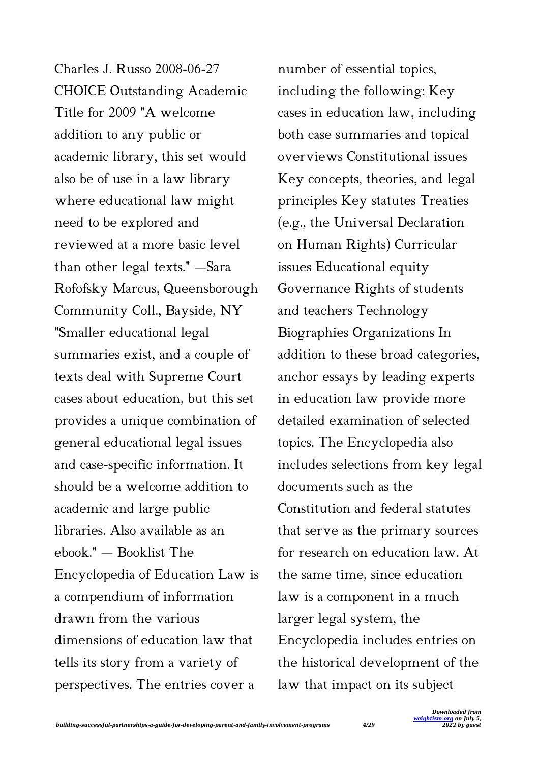Charles J. Russo 2008-06-27 CHOICE Outstanding Academic Title for 2009 "A welcome addition to any public or academic library, this set would also be of use in a law library where educational law might need to be explored and reviewed at a more basic level than other legal texts." —Sara Rofofsky Marcus, Queensborough Community Coll., Bayside, NY "Smaller educational legal summaries exist, and a couple of texts deal with Supreme Court cases about education, but this set provides a unique combination of general educational legal issues and case-specific information. It should be a welcome addition to academic and large public libraries. Also available as an ebook." — Booklist The Encyclopedia of Education Law is a compendium of information drawn from the various dimensions of education law that tells its story from a variety of perspectives. The entries cover a

number of essential topics, including the following: Key cases in education law, including both case summaries and topical overviews Constitutional issues Key concepts, theories, and legal principles Key statutes Treaties (e.g., the Universal Declaration on Human Rights) Curricular issues Educational equity Governance Rights of students and teachers Technology Biographies Organizations In addition to these broad categories, anchor essays by leading experts in education law provide more detailed examination of selected topics. The Encyclopedia also includes selections from key legal documents such as the Constitution and federal statutes that serve as the primary sources for research on education law. At the same time, since education law is a component in a much larger legal system, the Encyclopedia includes entries on the historical development of the law that impact on its subject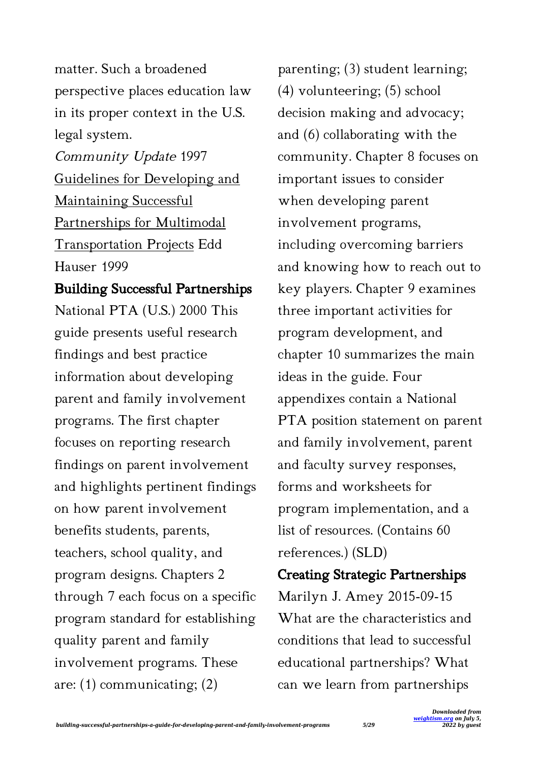matter. Such a broadened perspective places education law in its proper context in the U.S. legal system.

Community Update 1997 Guidelines for Developing and Maintaining Successful Partnerships for Multimodal Transportation Projects Edd Hauser 1999

#### Building Successful Partnerships

National PTA (U.S.) 2000 This guide presents useful research findings and best practice information about developing parent and family involvement programs. The first chapter focuses on reporting research findings on parent involvement and highlights pertinent findings on how parent involvement benefits students, parents, teachers, school quality, and program designs. Chapters 2 through 7 each focus on a specific program standard for establishing quality parent and family involvement programs. These are: (1) communicating; (2)

parenting; (3) student learning; (4) volunteering; (5) school decision making and advocacy; and (6) collaborating with the community. Chapter 8 focuses on important issues to consider when developing parent involvement programs, including overcoming barriers and knowing how to reach out to key players. Chapter 9 examines three important activities for program development, and chapter 10 summarizes the main ideas in the guide. Four appendixes contain a National PTA position statement on parent and family involvement, parent and faculty survey responses, forms and worksheets for program implementation, and a list of resources. (Contains 60 references.) (SLD)

Creating Strategic Partnerships Marilyn J. Amey 2015-09-15 What are the characteristics and conditions that lead to successful educational partnerships? What can we learn from partnerships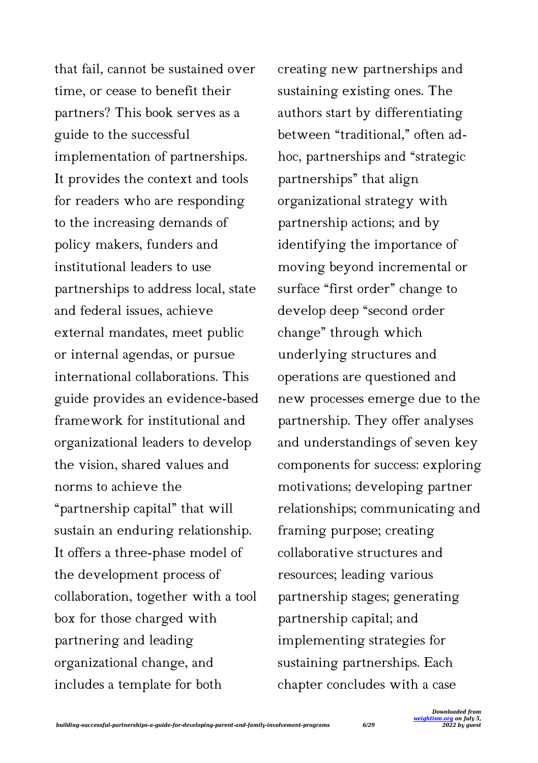that fail, cannot be sustained over time, or cease to benefit their partners? This book serves as a guide to the successful implementation of partnerships. It provides the context and tools for readers who are responding to the increasing demands of policy makers, funders and institutional leaders to use partnerships to address local, state and federal issues, achieve external mandates, meet public or internal agendas, or pursue international collaborations. This guide provides an evidence-based framework for institutional and organizational leaders to develop the vision, shared values and norms to achieve the "partnership capital" that will sustain an enduring relationship. It offers a three-phase model of the development process of collaboration, together with a tool box for those charged with partnering and leading organizational change, and includes a template for both

creating new partnerships and sustaining existing ones. The authors start by differentiating between "traditional," often adhoc, partnerships and "strategic partnerships" that align organizational strategy with partnership actions; and by identifying the importance of moving beyond incremental or surface "first order" change to develop deep "second order change" through which underlying structures and operations are questioned and new processes emerge due to the partnership. They offer analyses and understandings of seven key components for success: exploring motivations; developing partner relationships; communicating and framing purpose; creating collaborative structures and resources; leading various partnership stages; generating partnership capital; and implementing strategies for sustaining partnerships. Each chapter concludes with a case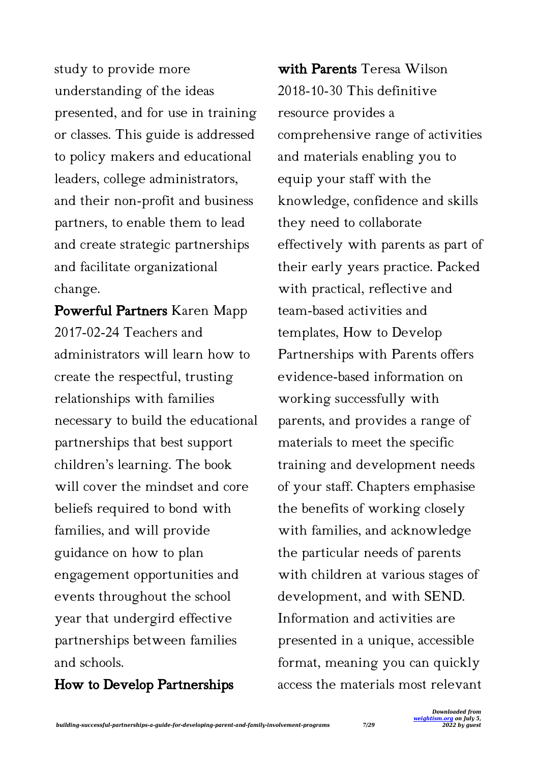study to provide more understanding of the ideas presented, and for use in training or classes. This guide is addressed to policy makers and educational leaders, college administrators, and their non-profit and business partners, to enable them to lead and create strategic partnerships and facilitate organizational change.

Powerful Partners Karen Mapp 2017-02-24 Teachers and administrators will learn how to create the respectful, trusting relationships with families necessary to build the educational partnerships that best support children's learning. The book will cover the mindset and core beliefs required to bond with families, and will provide guidance on how to plan engagement opportunities and events throughout the school year that undergird effective partnerships between families and schools.

### How to Develop Partnerships

2018-10-30 This definitive resource provides a comprehensive range of activities and materials enabling you to equip your staff with the knowledge, confidence and skills they need to collaborate effectively with parents as part of their early years practice. Packed with practical, reflective and team-based activities and templates, How to Develop Partnerships with Parents offers evidence-based information on working successfully with parents, and provides a range of materials to meet the specific training and development needs of your staff. Chapters emphasise the benefits of working closely with families, and acknowledge the particular needs of parents with children at various stages of development, and with SEND. Information and activities are presented in a unique, accessible format, meaning you can quickly

with Parents Teresa Wilson

access the materials most relevant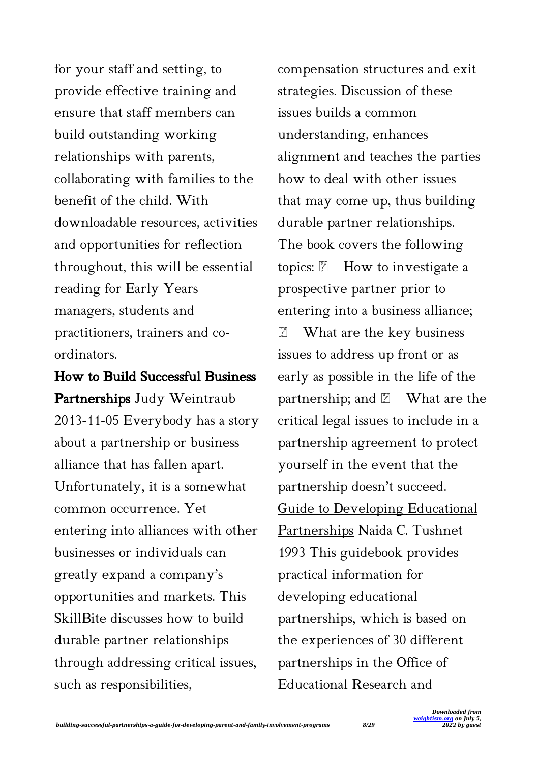for your staff and setting, to provide effective training and ensure that staff members can build outstanding working relationships with parents, collaborating with families to the benefit of the child. With downloadable resources, activities and opportunities for reflection throughout, this will be essential reading for Early Years managers, students and practitioners, trainers and coordinators.

How to Build Successful Business Partnerships Judy Weintraub 2013-11-05 Everybody has a story about a partnership or business alliance that has fallen apart. Unfortunately, it is a somewhat common occurrence. Yet entering into alliances with other businesses or individuals can greatly expand a company's opportunities and markets. This SkillBite discusses how to build durable partner relationships through addressing critical issues, such as responsibilities,

strategies. Discussion of these issues builds a common understanding, enhances alignment and teaches the parties how to deal with other issues that may come up, thus building durable partner relationships. The book covers the following topics:  $[2]$  How to investigate a prospective partner prior to entering into a business alliance; **Z** What are the key business issues to address up front or as early as possible in the life of the partnership; and  $\mathbb{Z}$  What are the critical legal issues to include in a partnership agreement to protect yourself in the event that the partnership doesn't succeed. Guide to Developing Educational Partnerships Naida C. Tushnet 1993 This guidebook provides practical information for developing educational partnerships, which is based on the experiences of 30 different partnerships in the Office of Educational Research and

compensation structures and exit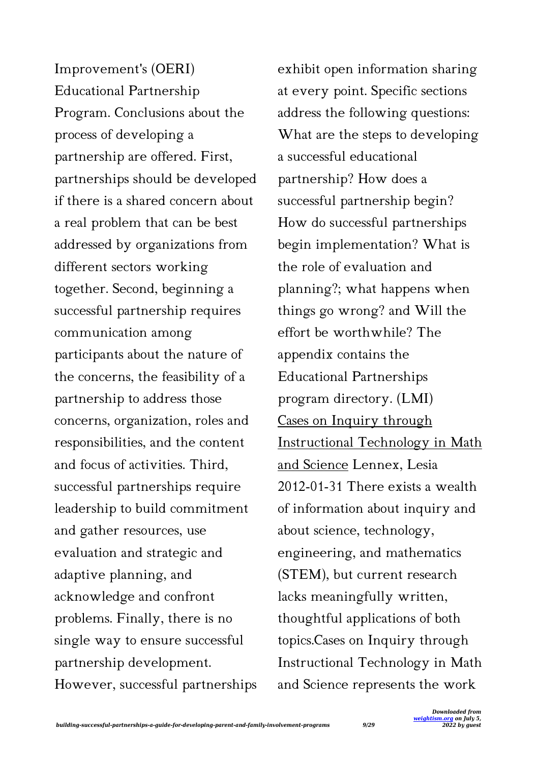Improvement's (OERI) Educational Partnership Program. Conclusions about the process of developing a partnership are offered. First, partnerships should be developed if there is a shared concern about a real problem that can be best addressed by organizations from different sectors working together. Second, beginning a successful partnership requires communication among participants about the nature of the concerns, the feasibility of a partnership to address those concerns, organization, roles and responsibilities, and the content and focus of activities. Third, successful partnerships require leadership to build commitment and gather resources, use evaluation and strategic and adaptive planning, and acknowledge and confront problems. Finally, there is no single way to ensure successful partnership development. However, successful partnerships exhibit open information sharing at every point. Specific sections address the following questions: What are the steps to developing a successful educational partnership? How does a successful partnership begin? How do successful partnerships begin implementation? What is the role of evaluation and planning?; what happens when things go wrong? and Will the effort be worthwhile? The appendix contains the Educational Partnerships program directory. (LMI) Cases on Inquiry through Instructional Technology in Math and Science Lennex, Lesia 2012-01-31 There exists a wealth of information about inquiry and about science, technology, engineering, and mathematics (STEM), but current research lacks meaningfully written, thoughtful applications of both topics.Cases on Inquiry through Instructional Technology in Math and Science represents the work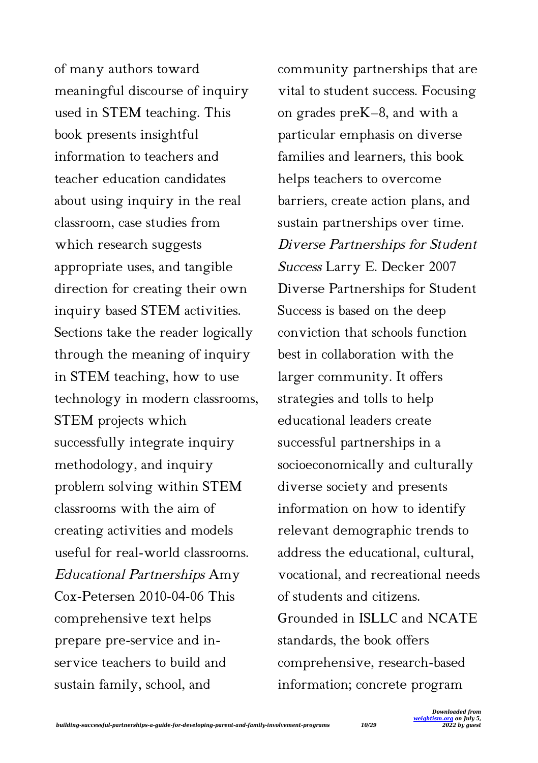of many authors toward meaningful discourse of inquiry used in STEM teaching. This book presents insightful information to teachers and teacher education candidates about using inquiry in the real classroom, case studies from which research suggests appropriate uses, and tangible direction for creating their own inquiry based STEM activities. Sections take the reader logically through the meaning of inquiry in STEM teaching, how to use technology in modern classrooms, STEM projects which successfully integrate inquiry methodology, and inquiry problem solving within STEM classrooms with the aim of creating activities and models useful for real-world classrooms. Educational Partnerships Amy Cox-Petersen 2010-04-06 This comprehensive text helps prepare pre-service and inservice teachers to build and sustain family, school, and

community partnerships that are vital to student success. Focusing on grades preK–8, and with a particular emphasis on diverse families and learners, this book helps teachers to overcome barriers, create action plans, and sustain partnerships over time. Diverse Partnerships for Student Success Larry E. Decker 2007 Diverse Partnerships for Student Success is based on the deep conviction that schools function best in collaboration with the larger community. It offers strategies and tolls to help educational leaders create successful partnerships in a socioeconomically and culturally diverse society and presents information on how to identify relevant demographic trends to address the educational, cultural, vocational, and recreational needs of students and citizens. Grounded in ISLLC and NCATE standards, the book offers comprehensive, research-based information; concrete program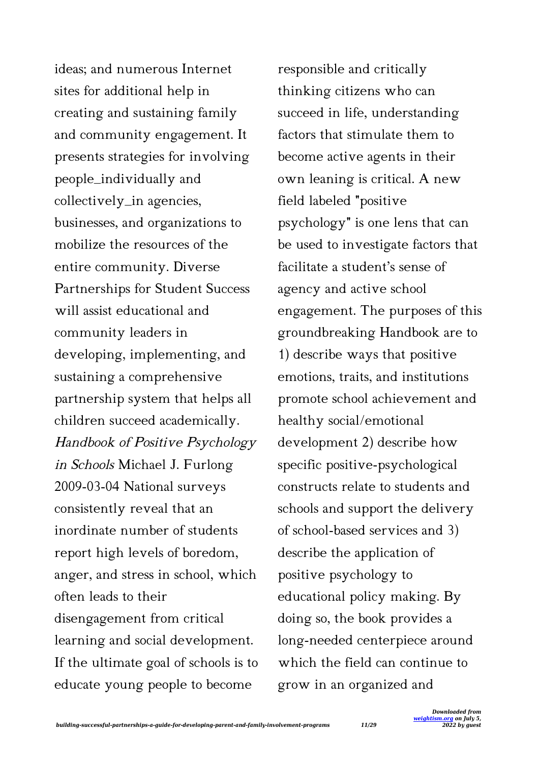ideas; and numerous Internet sites for additional help in creating and sustaining family and community engagement. It presents strategies for involving people\_individually and collectively\_in agencies, businesses, and organizations to mobilize the resources of the entire community. Diverse Partnerships for Student Success will assist educational and community leaders in developing, implementing, and sustaining a comprehensive partnership system that helps all children succeed academically. Handbook of Positive Psychology in Schools Michael J. Furlong 2009-03-04 National surveys consistently reveal that an inordinate number of students report high levels of boredom, anger, and stress in school, which often leads to their disengagement from critical learning and social development. If the ultimate goal of schools is to educate young people to become

responsible and critically thinking citizens who can succeed in life, understanding factors that stimulate them to become active agents in their own leaning is critical. A new field labeled "positive psychology" is one lens that can be used to investigate factors that facilitate a student's sense of agency and active school engagement. The purposes of this groundbreaking Handbook are to 1) describe ways that positive emotions, traits, and institutions promote school achievement and healthy social/emotional development 2) describe how specific positive-psychological constructs relate to students and schools and support the delivery of school-based services and 3) describe the application of positive psychology to educational policy making. By doing so, the book provides a long-needed centerpiece around which the field can continue to grow in an organized and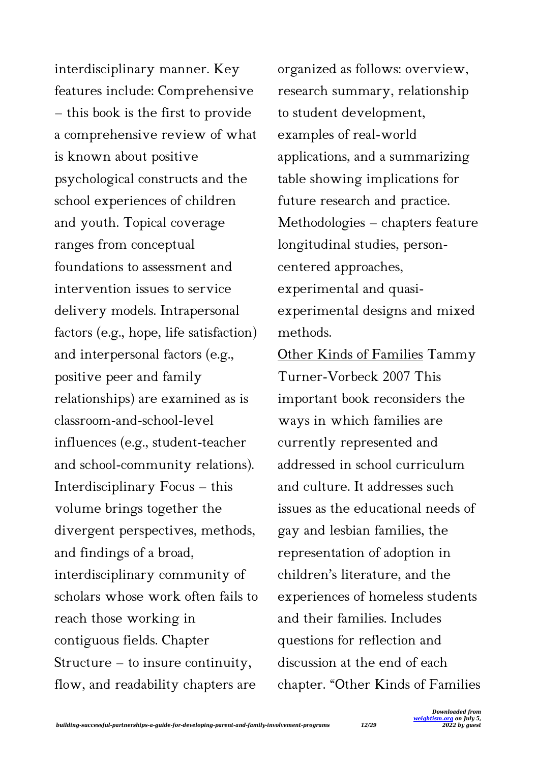interdisciplinary manner. Key features include: Comprehensive – this book is the first to provide a comprehensive review of what is known about positive psychological constructs and the school experiences of children and youth. Topical coverage ranges from conceptual foundations to assessment and intervention issues to service delivery models. Intrapersonal factors (e.g., hope, life satisfaction) and interpersonal factors (e.g., positive peer and family relationships) are examined as is classroom-and-school-level influences (e.g., student-teacher and school-community relations). Interdisciplinary Focus – this volume brings together the divergent perspectives, methods, and findings of a broad, interdisciplinary community of scholars whose work often fails to reach those working in contiguous fields. Chapter Structure – to insure continuity, flow, and readability chapters are

organized as follows: overview, research summary, relationship to student development, examples of real-world applications, and a summarizing table showing implications for future research and practice. Methodologies – chapters feature longitudinal studies, personcentered approaches, experimental and quasiexperimental designs and mixed methods.

Other Kinds of Families Tammy Turner-Vorbeck 2007 This important book reconsiders the ways in which families are currently represented and addressed in school curriculum and culture. It addresses such issues as the educational needs of gay and lesbian families, the representation of adoption in children's literature, and the experiences of homeless students and their families. Includes questions for reflection and discussion at the end of each chapter. "Other Kinds of Families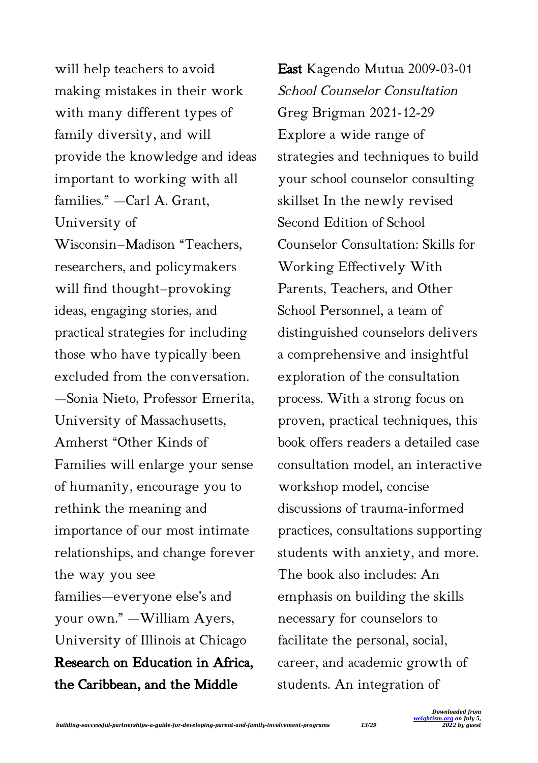will help teachers to avoid making mistakes in their work with many different types of family diversity, and will provide the knowledge and ideas important to working with all families." —Carl A. Grant, University of Wisconsin–Madison "Teachers, researchers, and policymakers will find thought–provoking ideas, engaging stories, and practical strategies for including those who have typically been excluded from the conversation. —Sonia Nieto, Professor Emerita, University of Massachusetts, Amherst "Other Kinds of Families will enlarge your sense of humanity, encourage you to rethink the meaning and importance of our most intimate relationships, and change forever the way you see families—everyone else's and your own." —William Ayers, University of Illinois at Chicago Research on Education in Africa, the Caribbean, and the Middle

East Kagendo Mutua 2009-03-01 School Counselor Consultation Greg Brigman 2021-12-29 Explore a wide range of strategies and techniques to build your school counselor consulting skillset In the newly revised Second Edition of School Counselor Consultation: Skills for Working Effectively With Parents, Teachers, and Other School Personnel, a team of distinguished counselors delivers a comprehensive and insightful exploration of the consultation process. With a strong focus on proven, practical techniques, this book offers readers a detailed case consultation model, an interactive workshop model, concise discussions of trauma-informed practices, consultations supporting students with anxiety, and more. The book also includes: An emphasis on building the skills necessary for counselors to facilitate the personal, social, career, and academic growth of students. An integration of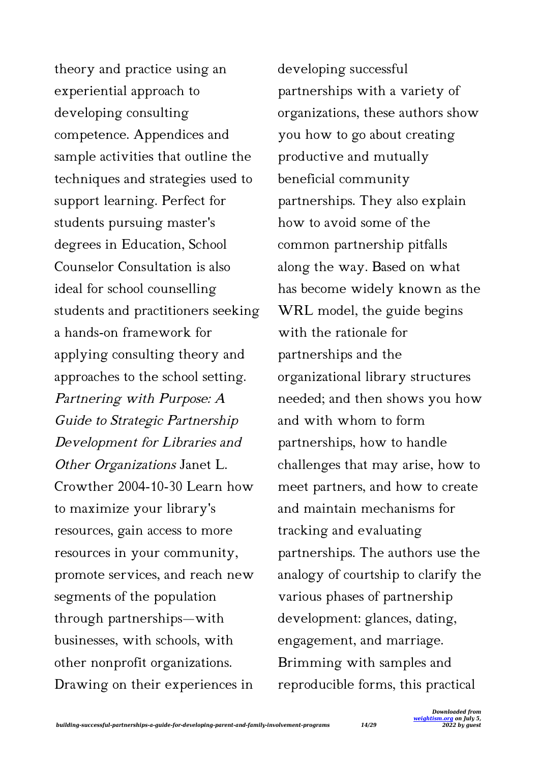theory and practice using an experiential approach to developing consulting competence. Appendices and sample activities that outline the techniques and strategies used to support learning. Perfect for students pursuing master's degrees in Education, School Counselor Consultation is also ideal for school counselling students and practitioners seeking a hands-on framework for applying consulting theory and approaches to the school setting. Partnering with Purpose: A Guide to Strategic Partnership Development for Libraries and Other Organizations Janet L. Crowther 2004-10-30 Learn how to maximize your library's resources, gain access to more resources in your community, promote services, and reach new segments of the population through partnerships—with businesses, with schools, with other nonprofit organizations. Drawing on their experiences in

developing successful partnerships with a variety of organizations, these authors show you how to go about creating productive and mutually beneficial community partnerships. They also explain how to avoid some of the common partnership pitfalls along the way. Based on what has become widely known as the WRL model, the guide begins with the rationale for partnerships and the organizational library structures needed; and then shows you how and with whom to form partnerships, how to handle challenges that may arise, how to meet partners, and how to create and maintain mechanisms for tracking and evaluating partnerships. The authors use the analogy of courtship to clarify the various phases of partnership development: glances, dating, engagement, and marriage. Brimming with samples and reproducible forms, this practical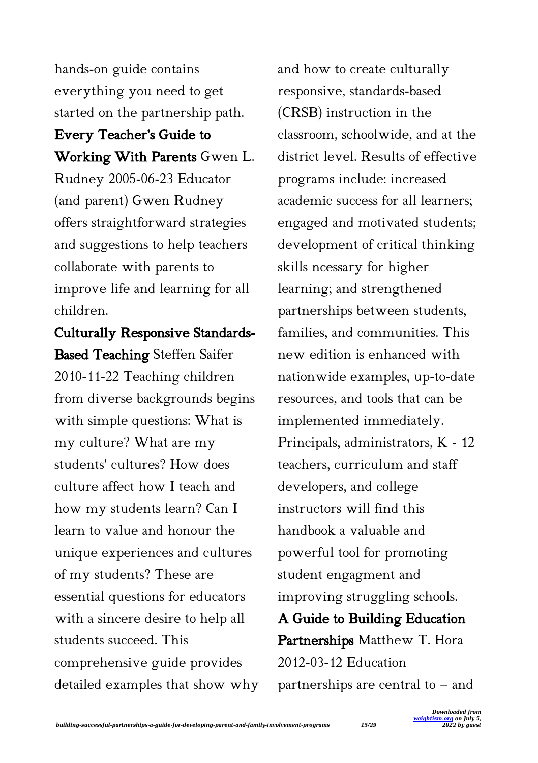hands-on guide contains everything you need to get started on the partnership path.

Every Teacher's Guide to Working With Parents Gwen L.

Rudney 2005-06-23 Educator (and parent) Gwen Rudney offers straightforward strategies and suggestions to help teachers collaborate with parents to improve life and learning for all children.

Culturally Responsive Standards-Based Teaching Steffen Saifer 2010-11-22 Teaching children from diverse backgrounds begins with simple questions: What is my culture? What are my students' cultures? How does culture affect how I teach and how my students learn? Can I learn to value and honour the unique experiences and cultures of my students? These are essential questions for educators with a sincere desire to help all students succeed. This comprehensive guide provides detailed examples that show why and how to create culturally responsive, standards-based (CRSB) instruction in the classroom, schoolwide, and at the district level. Results of effective programs include: increased academic success for all learners; engaged and motivated students; development of critical thinking skills ncessary for higher learning; and strengthened partnerships between students, families, and communities. This new edition is enhanced with nationwide examples, up-to-date resources, and tools that can be implemented immediately. Principals, administrators, K - 12 teachers, curriculum and staff developers, and college instructors will find this handbook a valuable and powerful tool for promoting student engagment and improving struggling schools. A Guide to Building Education Partnerships Matthew T. Hora 2012-03-12 Education

partnerships are central to – and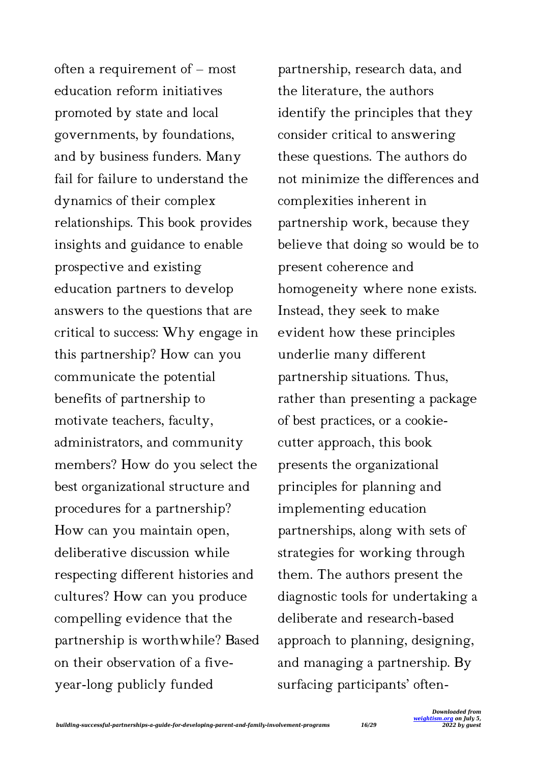often a requirement of – most education reform initiatives promoted by state and local governments, by foundations, and by business funders. Many fail for failure to understand the dynamics of their complex relationships. This book provides insights and guidance to enable prospective and existing education partners to develop answers to the questions that are critical to success: Why engage in this partnership? How can you communicate the potential benefits of partnership to motivate teachers, faculty, administrators, and community members? How do you select the best organizational structure and procedures for a partnership? How can you maintain open, deliberative discussion while respecting different histories and cultures? How can you produce compelling evidence that the partnership is worthwhile? Based on their observation of a fiveyear-long publicly funded

partnership, research data, and the literature, the authors identify the principles that they consider critical to answering these questions. The authors do not minimize the differences and complexities inherent in partnership work, because they believe that doing so would be to present coherence and homogeneity where none exists. Instead, they seek to make evident how these principles underlie many different partnership situations. Thus, rather than presenting a package of best practices, or a cookiecutter approach, this book presents the organizational principles for planning and implementing education partnerships, along with sets of strategies for working through them. The authors present the diagnostic tools for undertaking a deliberate and research-based approach to planning, designing, and managing a partnership. By surfacing participants' often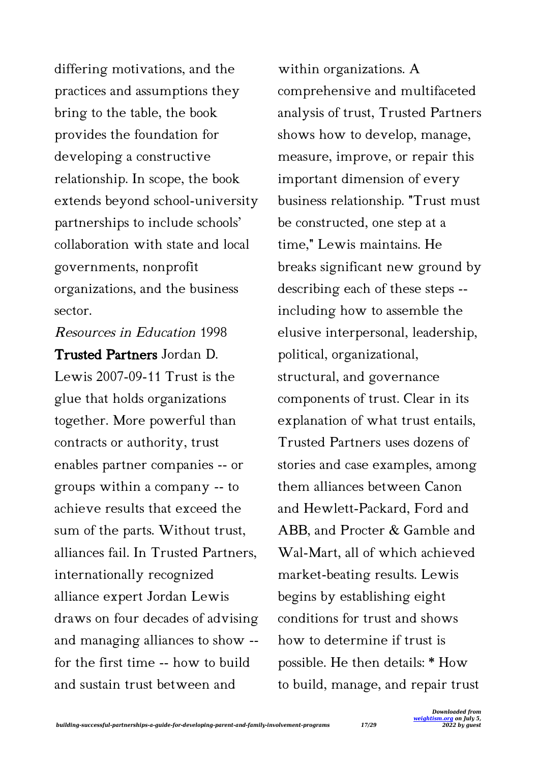differing motivations, and the practices and assumptions they bring to the table, the book provides the foundation for developing a constructive relationship. In scope, the book extends beyond school-university partnerships to include schools' collaboration with state and local governments, nonprofit organizations, and the business sector.

## Resources in Education 1998 Trusted Partners Jordan D.

Lewis 2007-09-11 Trust is the glue that holds organizations together. More powerful than contracts or authority, trust enables partner companies -- or groups within a company -- to achieve results that exceed the sum of the parts. Without trust, alliances fail. In Trusted Partners, internationally recognized alliance expert Jordan Lewis draws on four decades of advising and managing alliances to show - for the first time -- how to build and sustain trust between and

within organizations. A comprehensive and multifaceted analysis of trust, Trusted Partners shows how to develop, manage, measure, improve, or repair this important dimension of every business relationship. "Trust must be constructed, one step at a time," Lewis maintains. He breaks significant new ground by describing each of these steps - including how to assemble the elusive interpersonal, leadership, political, organizational, structural, and governance components of trust. Clear in its explanation of what trust entails, Trusted Partners uses dozens of stories and case examples, among them alliances between Canon and Hewlett-Packard, Ford and ABB, and Procter & Gamble and Wal-Mart, all of which achieved market-beating results. Lewis begins by establishing eight conditions for trust and shows how to determine if trust is possible. He then details: \* How to build, manage, and repair trust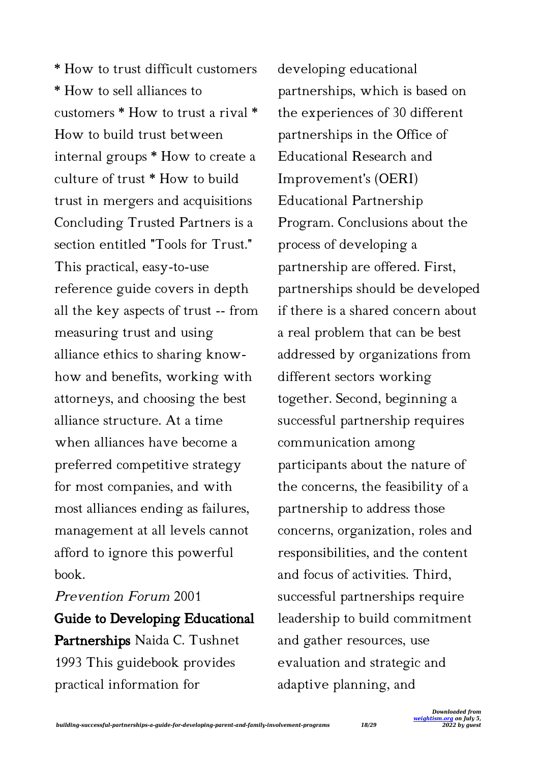\* How to trust difficult customers \* How to sell alliances to customers \* How to trust a rival \* How to build trust between internal groups \* How to create a culture of trust \* How to build trust in mergers and acquisitions Concluding Trusted Partners is a section entitled "Tools for Trust." This practical, easy-to-use reference guide covers in depth all the key aspects of trust -- from measuring trust and using alliance ethics to sharing knowhow and benefits, working with attorneys, and choosing the best alliance structure. At a time when alliances have become a preferred competitive strategy for most companies, and with most alliances ending as failures, management at all levels cannot afford to ignore this powerful book.

#### Prevention Forum 2001

Guide to Developing Educational Partnerships Naida C. Tushnet 1993 This guidebook provides practical information for

developing educational partnerships, which is based on the experiences of 30 different partnerships in the Office of Educational Research and Improvement's (OERI) Educational Partnership Program. Conclusions about the process of developing a partnership are offered. First, partnerships should be developed if there is a shared concern about a real problem that can be best addressed by organizations from different sectors working together. Second, beginning a successful partnership requires communication among participants about the nature of the concerns, the feasibility of a partnership to address those concerns, organization, roles and responsibilities, and the content and focus of activities. Third, successful partnerships require leadership to build commitment and gather resources, use evaluation and strategic and adaptive planning, and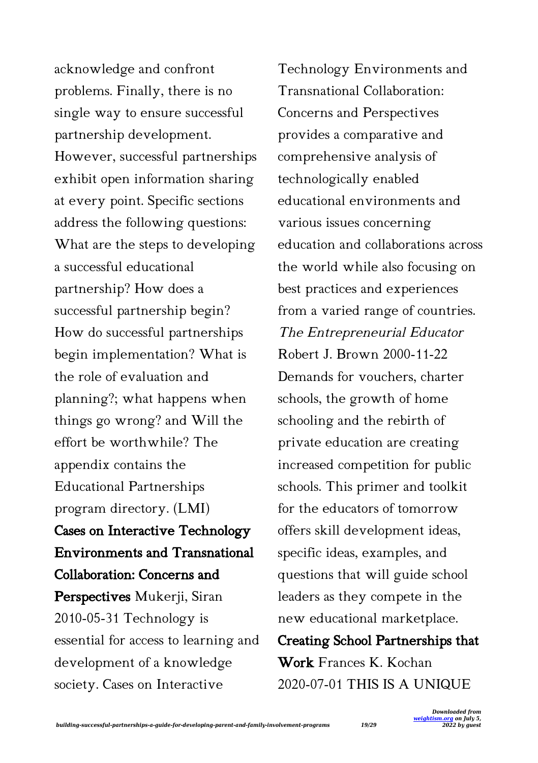acknowledge and confront problems. Finally, there is no single way to ensure successful partnership development. However, successful partnerships exhibit open information sharing at every point. Specific sections address the following questions: What are the steps to developing a successful educational partnership? How does a successful partnership begin? How do successful partnerships begin implementation? What is the role of evaluation and planning?; what happens when things go wrong? and Will the effort be worthwhile? The appendix contains the Educational Partnerships program directory. (LMI) Cases on Interactive Technology Environments and Transnational Collaboration: Concerns and Perspectives Mukerji, Siran 2010-05-31 Technology is essential for access to learning and development of a knowledge society. Cases on Interactive

Technology Environments and Transnational Collaboration: Concerns and Perspectives provides a comparative and comprehensive analysis of technologically enabled educational environments and various issues concerning education and collaborations across the world while also focusing on best practices and experiences from a varied range of countries. The Entrepreneurial Educator Robert J. Brown 2000-11-22 Demands for vouchers, charter schools, the growth of home schooling and the rebirth of private education are creating increased competition for public schools. This primer and toolkit for the educators of tomorrow offers skill development ideas, specific ideas, examples, and questions that will guide school leaders as they compete in the new educational marketplace. Creating School Partnerships that Work Frances K. Kochan 2020-07-01 THIS IS A UNIQUE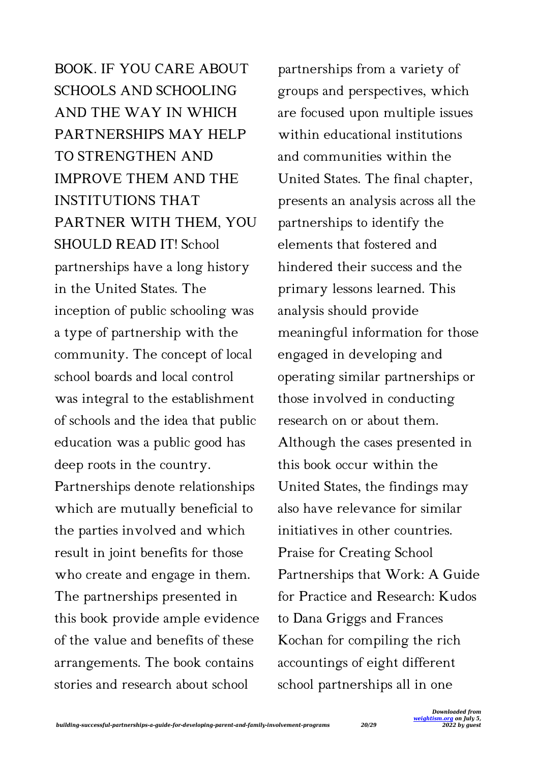BOOK. IF YOU CARE ABOUT SCHOOLS AND SCHOOLING AND THE WAY IN WHICH PARTNERSHIPS MAY HELP TO STRENGTHEN AND IMPROVE THEM AND THE INSTITUTIONS THAT PARTNER WITH THEM, YOU SHOULD READ IT! School partnerships have a long history in the United States. The inception of public schooling was a type of partnership with the community. The concept of local school boards and local control was integral to the establishment of schools and the idea that public education was a public good has deep roots in the country. Partnerships denote relationships which are mutually beneficial to the parties involved and which result in joint benefits for those who create and engage in them. The partnerships presented in this book provide ample evidence of the value and benefits of these arrangements. The book contains stories and research about school

partnerships from a variety of groups and perspectives, which are focused upon multiple issues within educational institutions and communities within the United States. The final chapter, presents an analysis across all the partnerships to identify the elements that fostered and hindered their success and the primary lessons learned. This analysis should provide meaningful information for those engaged in developing and operating similar partnerships or those involved in conducting research on or about them. Although the cases presented in this book occur within the United States, the findings may also have relevance for similar initiatives in other countries. Praise for Creating School Partnerships that Work: A Guide for Practice and Research: Kudos to Dana Griggs and Frances Kochan for compiling the rich accountings of eight different school partnerships all in one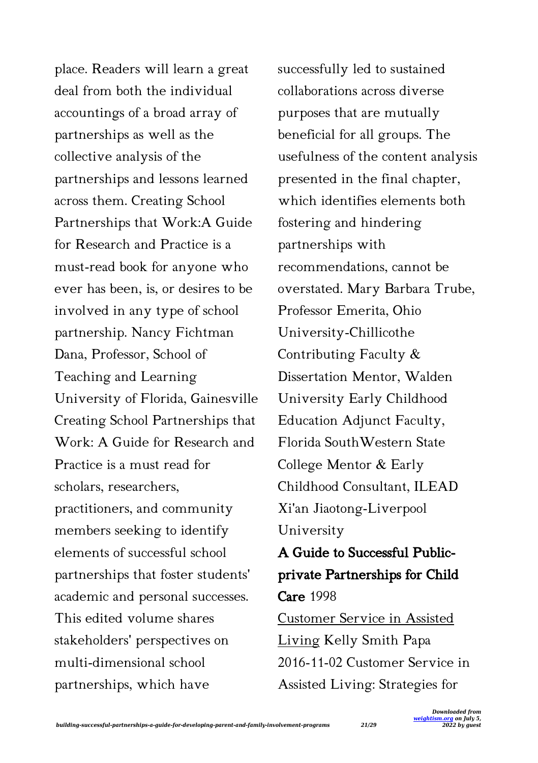place. Readers will learn a great deal from both the individual accountings of a broad array of partnerships as well as the collective analysis of the partnerships and lessons learned across them. Creating School Partnerships that Work:A Guide for Research and Practice is a must-read book for anyone who ever has been, is, or desires to be involved in any type of school partnership. Nancy Fichtman Dana, Professor, School of Teaching and Learning University of Florida, Gainesville Creating School Partnerships that Work: A Guide for Research and Practice is a must read for scholars, researchers, practitioners, and community members seeking to identify elements of successful school partnerships that foster students' academic and personal successes. This edited volume shares stakeholders' perspectives on multi-dimensional school partnerships, which have

successfully led to sustained collaborations across diverse purposes that are mutually beneficial for all groups. The usefulness of the content analysis presented in the final chapter, which identifies elements both fostering and hindering partnerships with recommendations, cannot be overstated. Mary Barbara Trube, Professor Emerita, Ohio University-Chillicothe Contributing Faculty & Dissertation Mentor, Walden University Early Childhood Education Adjunct Faculty, Florida SouthWestern State College Mentor & Early Childhood Consultant, ILEAD Xi'an Jiaotong-Liverpool University

# A Guide to Successful Publicprivate Partnerships for Child Care 1998

Customer Service in Assisted Living Kelly Smith Papa 2016-11-02 Customer Service in Assisted Living: Strategies for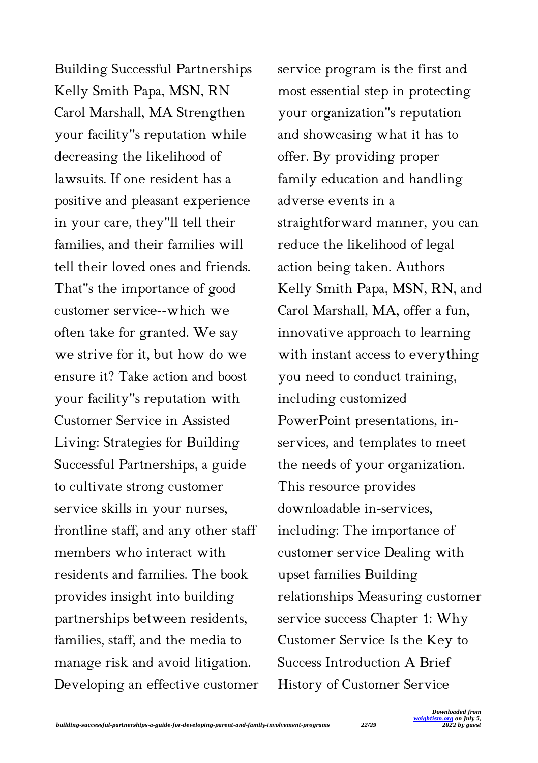Building Successful Partnerships Kelly Smith Papa, MSN, RN Carol Marshall, MA Strengthen your facility''s reputation while decreasing the likelihood of lawsuits. If one resident has a positive and pleasant experience in your care, they''ll tell their families, and their families will tell their loved ones and friends. That''s the importance of good customer service--which we often take for granted. We say we strive for it, but how do we ensure it? Take action and boost your facility''s reputation with Customer Service in Assisted Living: Strategies for Building Successful Partnerships, a guide to cultivate strong customer service skills in your nurses, frontline staff, and any other staff members who interact with residents and families. The book provides insight into building partnerships between residents, families, staff, and the media to manage risk and avoid litigation. Developing an effective customer service program is the first and most essential step in protecting your organization''s reputation and showcasing what it has to offer. By providing proper family education and handling adverse events in a straightforward manner, you can reduce the likelihood of legal action being taken. Authors Kelly Smith Papa, MSN, RN, and Carol Marshall, MA, offer a fun, innovative approach to learning with instant access to everything you need to conduct training, including customized PowerPoint presentations, inservices, and templates to meet the needs of your organization. This resource provides downloadable in-services, including: The importance of customer service Dealing with upset families Building relationships Measuring customer service success Chapter 1: Why Customer Service Is the Key to Success Introduction A Brief History of Customer Service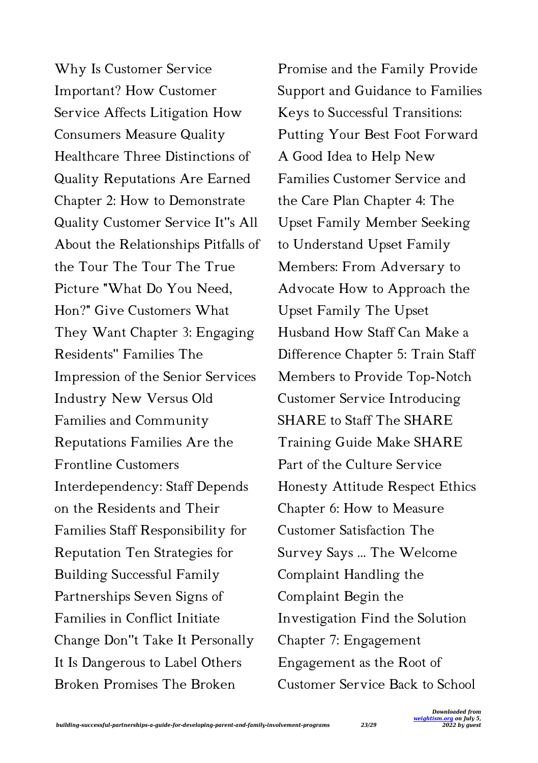Why Is Customer Service Important? How Customer Service Affects Litigation How Consumers Measure Quality Healthcare Three Distinctions of Quality Reputations Are Earned Chapter 2: How to Demonstrate Quality Customer Service It''s All About the Relationships Pitfalls of the Tour The Tour The True Picture "What Do You Need, Hon?" Give Customers What They Want Chapter 3: Engaging Residents'' Families The Impression of the Senior Services Industry New Versus Old Families and Community Reputations Families Are the Frontline Customers Interdependency: Staff Depends on the Residents and Their Families Staff Responsibility for Reputation Ten Strategies for Building Successful Family Partnerships Seven Signs of Families in Conflict Initiate Change Don''t Take It Personally It Is Dangerous to Label Others Broken Promises The Broken

Promise and the Family Provide Support and Guidance to Families Keys to Successful Transitions: Putting Your Best Foot Forward A Good Idea to Help New Families Customer Service and the Care Plan Chapter 4: The Upset Family Member Seeking to Understand Upset Family Members: From Adversary to Advocate How to Approach the Upset Family The Upset Husband How Staff Can Make a Difference Chapter 5: Train Staff Members to Provide Top-Notch Customer Service Introducing SHARE to Staff The SHARE Training Guide Make SHARE Part of the Culture Service Honesty Attitude Respect Ethics Chapter 6: How to Measure Customer Satisfaction The Survey Says ... The Welcome Complaint Handling the Complaint Begin the Investigation Find the Solution Chapter 7: Engagement Engagement as the Root of Customer Service Back to School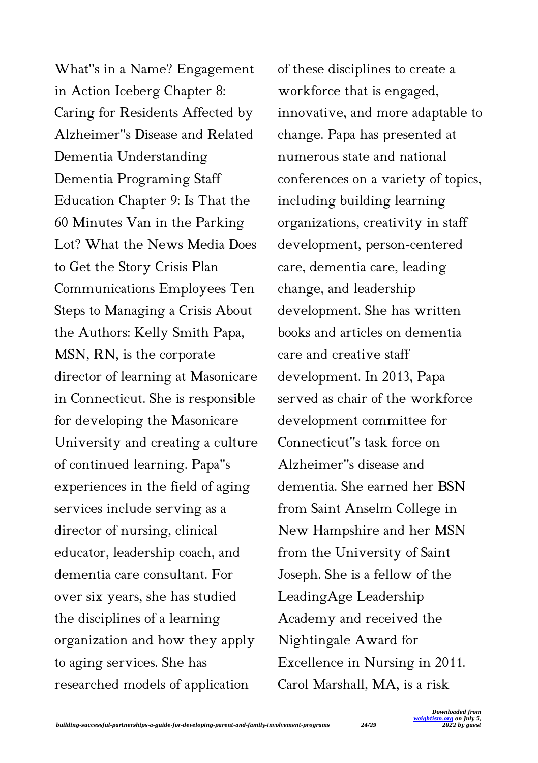What''s in a Name? Engagement in Action Iceberg Chapter 8: Caring for Residents Affected by Alzheimer''s Disease and Related Dementia Understanding Dementia Programing Staff Education Chapter 9: Is That the 60 Minutes Van in the Parking Lot? What the News Media Does to Get the Story Crisis Plan Communications Employees Ten Steps to Managing a Crisis About the Authors: Kelly Smith Papa, MSN, RN, is the corporate director of learning at Masonicare in Connecticut. She is responsible for developing the Masonicare University and creating a culture of continued learning. Papa''s experiences in the field of aging services include serving as a director of nursing, clinical educator, leadership coach, and dementia care consultant. For over six years, she has studied the disciplines of a learning organization and how they apply to aging services. She has researched models of application

of these disciplines to create a workforce that is engaged, innovative, and more adaptable to change. Papa has presented at numerous state and national conferences on a variety of topics, including building learning organizations, creativity in staff development, person-centered care, dementia care, leading change, and leadership development. She has written books and articles on dementia care and creative staff development. In 2013, Papa served as chair of the workforce development committee for Connecticut''s task force on Alzheimer''s disease and dementia. She earned her BSN from Saint Anselm College in New Hampshire and her MSN from the University of Saint Joseph. She is a fellow of the LeadingAge Leadership Academy and received the Nightingale Award for Excellence in Nursing in 2011. Carol Marshall, MA, is a risk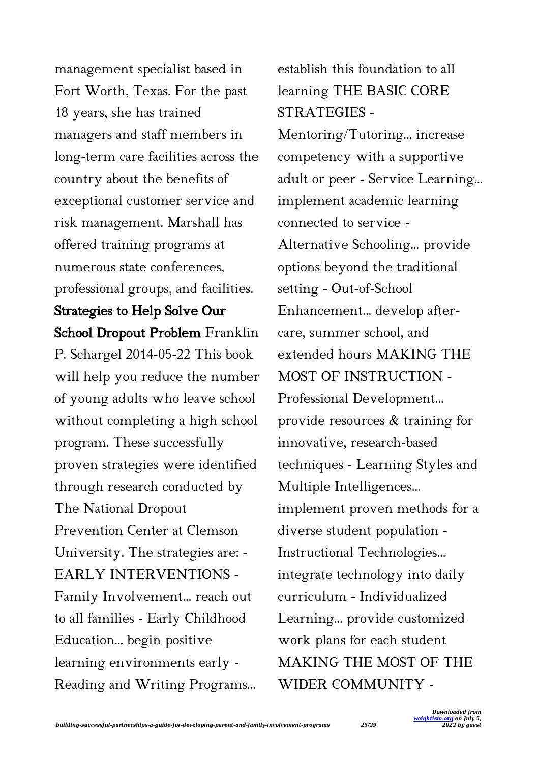management specialist based in Fort Worth, Texas. For the past 18 years, she has trained managers and staff members in long-term care facilities across the country about the benefits of exceptional customer service and risk management. Marshall has offered training programs at numerous state conferences, professional groups, and facilities. Strategies to Help Solve Our School Dropout Problem Franklin P. Schargel 2014-05-22 This book will help you reduce the number of young adults who leave school without completing a high school program. These successfully proven strategies were identified through research conducted by The National Dropout Prevention Center at Clemson University. The strategies are: - EARLY INTERVENTIONS - Family Involvement... reach out to all families - Early Childhood Education... begin positive learning environments early - Reading and Writing Programs...

establish this foundation to all learning THE BASIC CORE STRATEGIES -

Mentoring/Tutoring... increase competency with a supportive adult or peer - Service Learning... implement academic learning connected to service - Alternative Schooling... provide options beyond the traditional setting - Out-of-School Enhancement... develop aftercare, summer school, and extended hours MAKING THE MOST OF INSTRUCTION - Professional Development... provide resources & training for innovative, research-based techniques - Learning Styles and Multiple Intelligences... implement proven methods for a diverse student population - Instructional Technologies... integrate technology into daily curriculum - Individualized Learning... provide customized work plans for each student MAKING THE MOST OF THE WIDER COMMUNITY -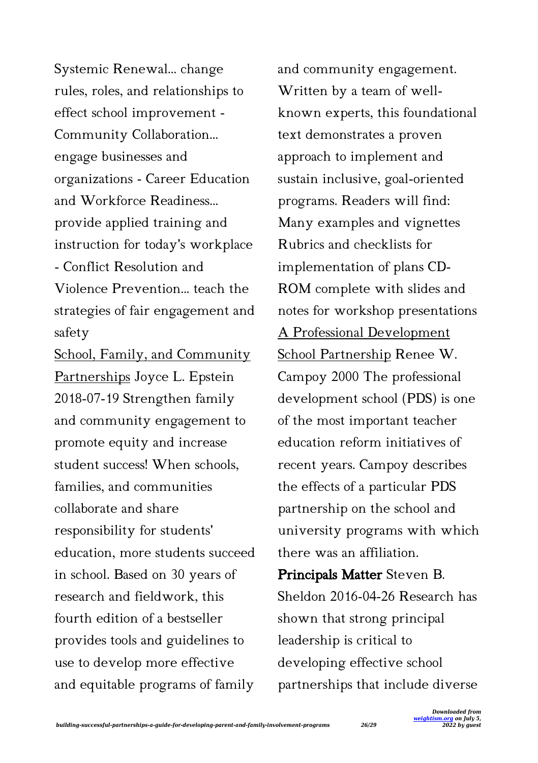Systemic Renewal... change rules, roles, and relationships to effect school improvement - Community Collaboration... engage businesses and organizations - Career Education and Workforce Readiness... provide applied training and instruction for today's workplace - Conflict Resolution and Violence Prevention... teach the strategies of fair engagement and safety

School, Family, and Community Partnerships Joyce L. Epstein 2018-07-19 Strengthen family and community engagement to promote equity and increase student success! When schools, families, and communities collaborate and share responsibility for students' education, more students succeed in school. Based on 30 years of research and fieldwork, this fourth edition of a bestseller provides tools and guidelines to use to develop more effective and equitable programs of family

and community engagement. Written by a team of wellknown experts, this foundational text demonstrates a proven approach to implement and sustain inclusive, goal-oriented programs. Readers will find: Many examples and vignettes Rubrics and checklists for implementation of plans CD-ROM complete with slides and notes for workshop presentations A Professional Development School Partnership Renee W. Campoy 2000 The professional development school (PDS) is one of the most important teacher education reform initiatives of recent years. Campoy describes the effects of a particular PDS partnership on the school and university programs with which there was an affiliation.

Principals Matter Steven B. Sheldon 2016-04-26 Research has shown that strong principal leadership is critical to developing effective school partnerships that include diverse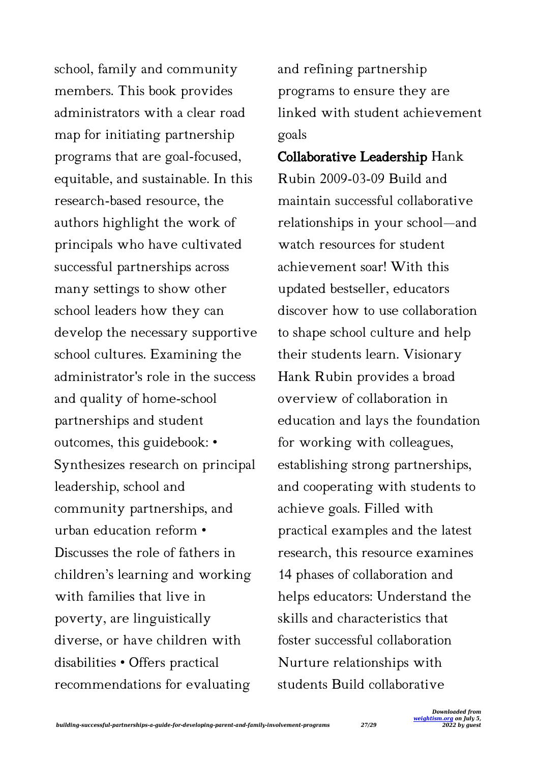school, family and community members. This book provides administrators with a clear road map for initiating partnership programs that are goal-focused, equitable, and sustainable. In this research-based resource, the authors highlight the work of principals who have cultivated successful partnerships across many settings to show other school leaders how they can develop the necessary supportive school cultures. Examining the administrator's role in the success and quality of home-school partnerships and student outcomes, this guidebook: • Synthesizes research on principal leadership, school and community partnerships, and urban education reform • Discusses the role of fathers in children's learning and working with families that live in poverty, are linguistically diverse, or have children with disabilities • Offers practical recommendations for evaluating

and refining partnership programs to ensure they are linked with student achievement goals

Collaborative Leadership Hank Rubin 2009-03-09 Build and maintain successful collaborative relationships in your school—and watch resources for student achievement soar! With this updated bestseller, educators discover how to use collaboration to shape school culture and help their students learn. Visionary Hank Rubin provides a broad overview of collaboration in education and lays the foundation for working with colleagues, establishing strong partnerships, and cooperating with students to achieve goals. Filled with practical examples and the latest research, this resource examines 14 phases of collaboration and helps educators: Understand the skills and characteristics that foster successful collaboration Nurture relationships with students Build collaborative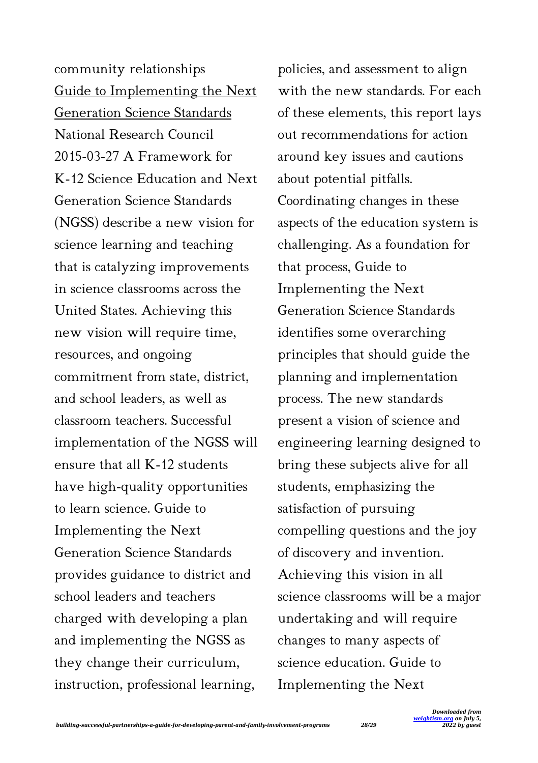community relationships Guide to Implementing the Next Generation Science Standards National Research Council 2015-03-27 A Framework for K-12 Science Education and Next Generation Science Standards (NGSS) describe a new vision for science learning and teaching that is catalyzing improvements in science classrooms across the United States. Achieving this new vision will require time, resources, and ongoing commitment from state, district, and school leaders, as well as classroom teachers. Successful implementation of the NGSS will ensure that all K-12 students have high-quality opportunities to learn science. Guide to Implementing the Next Generation Science Standards provides guidance to district and school leaders and teachers charged with developing a plan and implementing the NGSS as they change their curriculum, instruction, professional learning,

policies, and assessment to align with the new standards. For each of these elements, this report lays out recommendations for action around key issues and cautions about potential pitfalls. Coordinating changes in these aspects of the education system is challenging. As a foundation for that process, Guide to Implementing the Next Generation Science Standards identifies some overarching principles that should guide the planning and implementation process. The new standards present a vision of science and engineering learning designed to bring these subjects alive for all students, emphasizing the satisfaction of pursuing compelling questions and the joy of discovery and invention. Achieving this vision in all science classrooms will be a major undertaking and will require changes to many aspects of science education. Guide to Implementing the Next